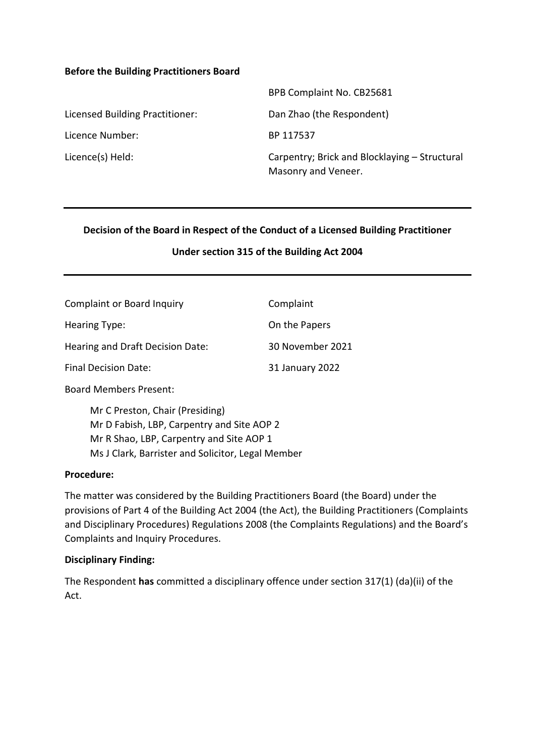#### **Before the Building Practitioners Board**

|                                 | BPB Complaint No. CB25681                                            |
|---------------------------------|----------------------------------------------------------------------|
| Licensed Building Practitioner: | Dan Zhao (the Respondent)                                            |
| Licence Number:                 | BP 117537                                                            |
| Licence(s) Held:                | Carpentry; Brick and Blocklaying – Structural<br>Masonry and Veneer. |

#### **Decision of the Board in Respect of the Conduct of a Licensed Building Practitioner**

#### **Under section 315 of the Building Act 2004**

| <b>Complaint or Board Inquiry</b> | Complaint        |
|-----------------------------------|------------------|
| Hearing Type:                     | On the Papers    |
| Hearing and Draft Decision Date:  | 30 November 2021 |
| <b>Final Decision Date:</b>       | 31 January 2022  |

Board Members Present:

Mr C Preston, Chair (Presiding) Mr D Fabish, LBP, Carpentry and Site AOP 2 Mr R Shao, LBP, Carpentry and Site AOP 1 Ms J Clark, Barrister and Solicitor, Legal Member

#### **Procedure:**

The matter was considered by the Building Practitioners Board (the Board) under the provisions of Part 4 of the Building Act 2004 (the Act), the Building Practitioners (Complaints and Disciplinary Procedures) Regulations 2008 (the Complaints Regulations) and the Board's Complaints and Inquiry Procedures.

#### **Disciplinary Finding:**

The Respondent **has** committed a disciplinary offence under section 317(1) (da)(ii) of the Act.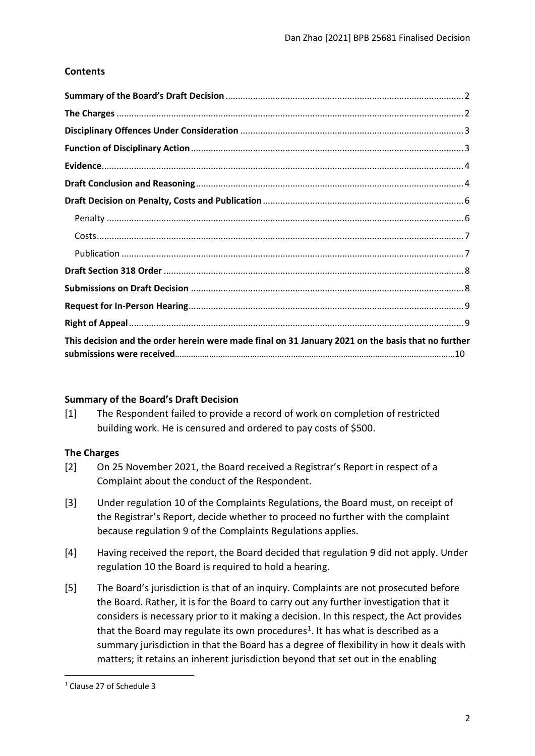## **Contents**

| This decision and the order herein were made final on 31 January 2021 on the basis that no further |  |
|----------------------------------------------------------------------------------------------------|--|

## <span id="page-1-0"></span>**Summary of the Board's Draft Decision**

<span id="page-1-1"></span>[1] The Respondent failed to provide a record of work on completion of restricted building work. He is censured and ordered to pay costs of \$500.

## **The Charges**

- [2] On 25 November 2021, the Board received a Registrar's Report in respect of a Complaint about the conduct of the Respondent.
- [3] Under regulation 10 of the Complaints Regulations, the Board must, on receipt of the Registrar's Report, decide whether to proceed no further with the complaint because regulation 9 of the Complaints Regulations applies.
- [4] Having received the report, the Board decided that regulation 9 did not apply. Under regulation 10 the Board is required to hold a hearing.
- [5] The Board's jurisdiction is that of an inquiry. Complaints are not prosecuted before the Board. Rather, it is for the Board to carry out any further investigation that it considers is necessary prior to it making a decision. In this respect, the Act provides that the Board may regulate its own procedures<sup>[1](#page-1-2)</sup>. It has what is described as a summary jurisdiction in that the Board has a degree of flexibility in how it deals with matters; it retains an inherent jurisdiction beyond that set out in the enabling

<span id="page-1-2"></span><sup>1</sup> Clause 27 of Schedule 3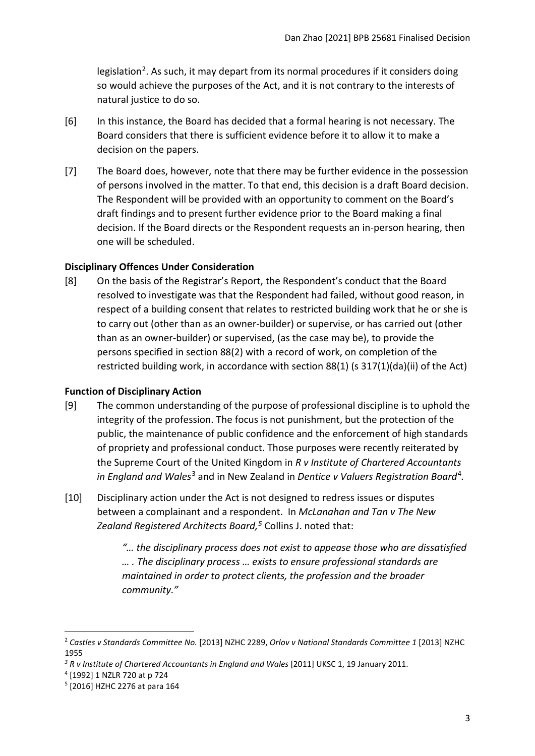legislation<sup>[2](#page-2-2)</sup>. As such, it may depart from its normal procedures if it considers doing so would achieve the purposes of the Act, and it is not contrary to the interests of natural justice to do so.

- [6] In this instance, the Board has decided that a formal hearing is not necessary. The Board considers that there is sufficient evidence before it to allow it to make a decision on the papers.
- [7] The Board does, however, note that there may be further evidence in the possession of persons involved in the matter. To that end, this decision is a draft Board decision. The Respondent will be provided with an opportunity to comment on the Board's draft findings and to present further evidence prior to the Board making a final decision. If the Board directs or the Respondent requests an in-person hearing, then one will be scheduled.

#### <span id="page-2-0"></span>**Disciplinary Offences Under Consideration**

[8] On the basis of the Registrar's Report, the Respondent's conduct that the Board resolved to investigate was that the Respondent had failed, without good reason, in respect of a building consent that relates to restricted building work that he or she is to carry out (other than as an owner-builder) or supervise, or has carried out (other than as an owner-builder) or supervised, (as the case may be), to provide the persons specified in section 88(2) with a record of work, on completion of the restricted building work, in accordance with section 88(1) (s 317(1)(da)(ii) of the Act)

#### <span id="page-2-1"></span>**Function of Disciplinary Action**

- [9] The common understanding of the purpose of professional discipline is to uphold the integrity of the profession. The focus is not punishment, but the protection of the public, the maintenance of public confidence and the enforcement of high standards of propriety and professional conduct. Those purposes were recently reiterated by the Supreme Court of the United Kingdom in *R v Institute of Chartered Accountants in England and Wales*[3](#page-2-3) and in New Zealand in *Dentice v Valuers Registration Board*[4](#page-2-4)*.*
- [10] Disciplinary action under the Act is not designed to redress issues or disputes between a complainant and a respondent. In *McLanahan and Tan v The New Zealand Registered Architects Board, [5](#page-2-5)* Collins J. noted that:
	- *"… the disciplinary process does not exist to appease those who are dissatisfied … . The disciplinary process … exists to ensure professional standards are maintained in order to protect clients, the profession and the broader community."*

<span id="page-2-2"></span><sup>2</sup> *Castles v Standards Committee No.* [2013] NZHC 2289, *Orlov v National Standards Committee 1* [2013] NZHC 1955

<span id="page-2-3"></span><sup>&</sup>lt;sup>3</sup> R v Institute of Chartered Accountants in England and Wales [2011] UKSC 1, 19 January 2011.

<span id="page-2-4"></span><sup>4</sup> [1992] 1 NZLR 720 at p 724

<span id="page-2-5"></span><sup>5</sup> [2016] HZHC 2276 at para 164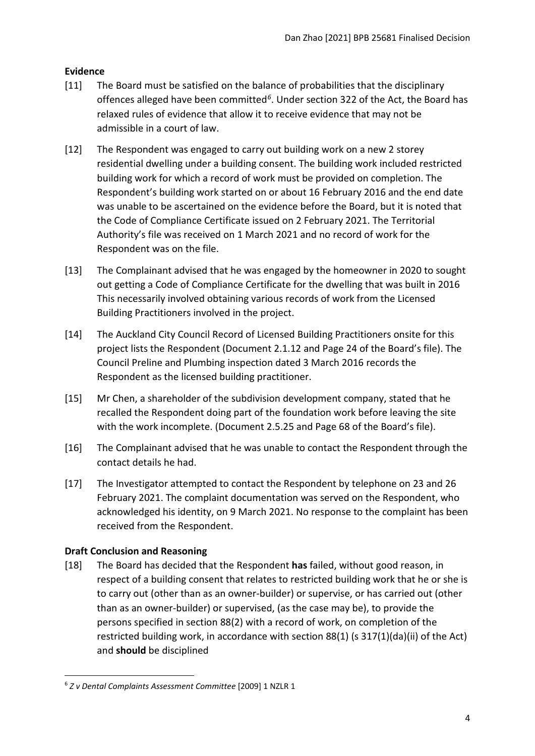## <span id="page-3-0"></span>**Evidence**

- [11] The Board must be satisfied on the balance of probabilities that the disciplinary offences alleged have been committed*[6](#page-3-2)*. Under section 322 of the Act, the Board has relaxed rules of evidence that allow it to receive evidence that may not be admissible in a court of law.
- [12] The Respondent was engaged to carry out building work on a new 2 storey residential dwelling under a building consent. The building work included restricted building work for which a record of work must be provided on completion. The Respondent's building work started on or about 16 February 2016 and the end date was unable to be ascertained on the evidence before the Board, but it is noted that the Code of Compliance Certificate issued on 2 February 2021. The Territorial Authority's file was received on 1 March 2021 and no record of work for the Respondent was on the file.
- [13] The Complainant advised that he was engaged by the homeowner in 2020 to sought out getting a Code of Compliance Certificate for the dwelling that was built in 2016 This necessarily involved obtaining various records of work from the Licensed Building Practitioners involved in the project.
- [14] The Auckland City Council Record of Licensed Building Practitioners onsite for this project lists the Respondent (Document 2.1.12 and Page 24 of the Board's file). The Council Preline and Plumbing inspection dated 3 March 2016 records the Respondent as the licensed building practitioner.
- [15] Mr Chen, a shareholder of the subdivision development company, stated that he recalled the Respondent doing part of the foundation work before leaving the site with the work incomplete. (Document 2.5.25 and Page 68 of the Board's file).
- [16] The Complainant advised that he was unable to contact the Respondent through the contact details he had.
- [17] The Investigator attempted to contact the Respondent by telephone on 23 and 26 February 2021. The complaint documentation was served on the Respondent, who acknowledged his identity, on 9 March 2021. No response to the complaint has been received from the Respondent.

# <span id="page-3-1"></span>**Draft Conclusion and Reasoning**

[18] The Board has decided that the Respondent **has** failed, without good reason, in respect of a building consent that relates to restricted building work that he or she is to carry out (other than as an owner-builder) or supervise, or has carried out (other than as an owner-builder) or supervised, (as the case may be), to provide the persons specified in section 88(2) with a record of work, on completion of the restricted building work, in accordance with section 88(1) (s 317(1)(da)(ii) of the Act) and **should** be disciplined

<span id="page-3-2"></span><sup>6</sup> *Z v Dental Complaints Assessment Committee* [2009] 1 NZLR 1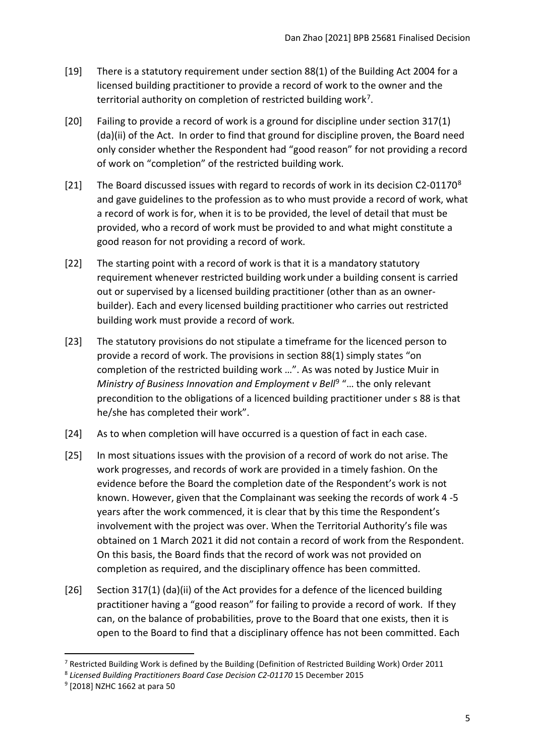- [19] There is a statutory requirement under section 88(1) of the Building Act 2004 for a licensed building practitioner to provide a record of work to the owner and the territorial authority on completion of restricted building work<sup>[7](#page-4-0)</sup>.
- [20] Failing to provide a record of work is a ground for discipline under section 317(1) (da)(ii) of the Act. In order to find that ground for discipline proven, the Board need only consider whether the Respondent had "good reason" for not providing a record of work on "completion" of the restricted building work.
- [21] The Board discussed issues with regard to records of work in its decision C2-01170<sup>[8](#page-4-1)</sup> and gave guidelines to the profession as to who must provide a record of work, what a record of work is for, when it is to be provided, the level of detail that must be provided, who a record of work must be provided to and what might constitute a good reason for not providing a record of work.
- [22] The starting point with a record of work is that it is a mandatory statutory requirement whenever restricted building work under a building consent is carried out or supervised by a licensed building practitioner (other than as an ownerbuilder). Each and every licensed building practitioner who carries out restricted building work must provide a record of work.
- [23] The statutory provisions do not stipulate a timeframe for the licenced person to provide a record of work. The provisions in section 88(1) simply states "on completion of the restricted building work …". As was noted by Justice Muir in *Ministry of Business Innovation and Employment v Bell<sup>[9](#page-4-2)</sup> "... the only relevant* precondition to the obligations of a licenced building practitioner under s 88 is that he/she has completed their work".
- [24] As to when completion will have occurred is a question of fact in each case.
- [25] In most situations issues with the provision of a record of work do not arise. The work progresses, and records of work are provided in a timely fashion. On the evidence before the Board the completion date of the Respondent's work is not known. However, given that the Complainant was seeking the records of work 4 -5 years after the work commenced, it is clear that by this time the Respondent's involvement with the project was over. When the Territorial Authority's file was obtained on 1 March 2021 it did not contain a record of work from the Respondent. On this basis, the Board finds that the record of work was not provided on completion as required, and the disciplinary offence has been committed.
- [26] Section 317(1) (da)(ii) of the Act provides for a defence of the licenced building practitioner having a "good reason" for failing to provide a record of work. If they can, on the balance of probabilities, prove to the Board that one exists, then it is open to the Board to find that a disciplinary offence has not been committed. Each

<span id="page-4-0"></span><sup>&</sup>lt;sup>7</sup> Restricted Building Work is defined by the Building (Definition of Restricted Building Work) Order 2011

<span id="page-4-1"></span><sup>8</sup> *Licensed Building Practitioners Board Case Decision C2-01170* 15 December 2015

<span id="page-4-2"></span><sup>9</sup> [2018] NZHC 1662 at para 50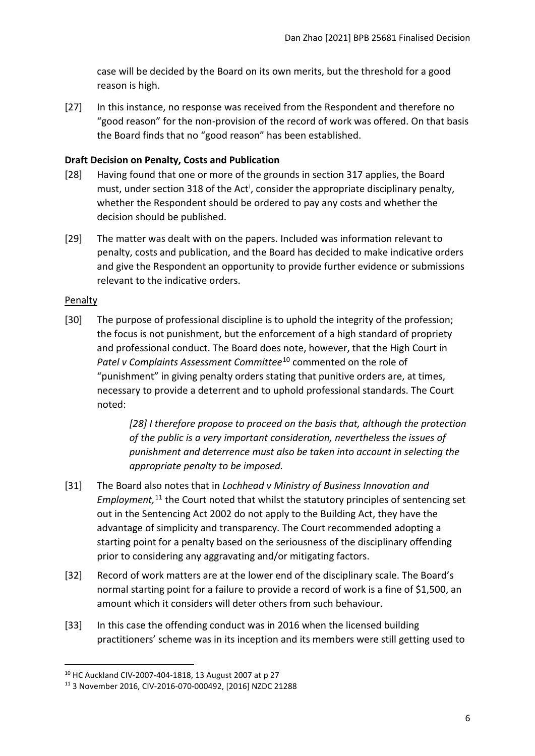case will be decided by the Board on its own merits, but the threshold for a good reason is high.

[27] In this instance, no response was received from the Respondent and therefore no "good reason" for the non-provision of the record of work was offered. On that basis the Board finds that no "good reason" has been established.

### <span id="page-5-0"></span>**Draft Decision on Penalty, Costs and Publication**

- [28] Having found that one or more of the grounds in section 317 applies, the Board must, under sect[i](#page-9-0)on 318 of the Act<sup>i</sup>, consider the appropriate disciplinary penalty, whether the Respondent should be ordered to pay any costs and whether the decision should be published.
- [29] The matter was dealt with on the papers. Included was information relevant to penalty, costs and publication, and the Board has decided to make indicative orders and give the Respondent an opportunity to provide further evidence or submissions relevant to the indicative orders.

#### <span id="page-5-1"></span>Penalty

[30] The purpose of professional discipline is to uphold the integrity of the profession; the focus is not punishment, but the enforcement of a high standard of propriety and professional conduct. The Board does note, however, that the High Court in *Patel v Complaints Assessment Committee*[10](#page-5-3) commented on the role of "punishment" in giving penalty orders stating that punitive orders are, at times, necessary to provide a deterrent and to uphold professional standards. The Court noted:

> *[28] I therefore propose to proceed on the basis that, although the protection of the public is a very important consideration, nevertheless the issues of punishment and deterrence must also be taken into account in selecting the appropriate penalty to be imposed.*

- [31] The Board also notes that in *Lochhead v Ministry of Business Innovation and*  Employment,<sup>[11](#page-5-4)</sup> the Court noted that whilst the statutory principles of sentencing set out in the Sentencing Act 2002 do not apply to the Building Act, they have the advantage of simplicity and transparency. The Court recommended adopting a starting point for a penalty based on the seriousness of the disciplinary offending prior to considering any aggravating and/or mitigating factors.
- <span id="page-5-2"></span>[32] Record of work matters are at the lower end of the disciplinary scale. The Board's normal starting point for a failure to provide a record of work is a fine of \$1,500, an amount which it considers will deter others from such behaviour.
- [33] In this case the offending conduct was in 2016 when the licensed building practitioners' scheme was in its inception and its members were still getting used to

<span id="page-5-3"></span><sup>10</sup> HC Auckland CIV-2007-404-1818, 13 August 2007 at p 27

<span id="page-5-4"></span><sup>11</sup> 3 November 2016, CIV-2016-070-000492, [2016] NZDC 21288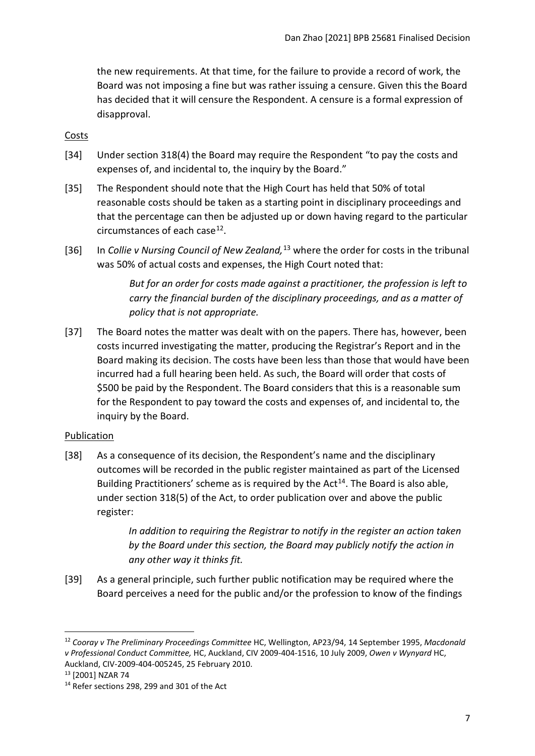the new requirements. At that time, for the failure to provide a record of work, the Board was not imposing a fine but was rather issuing a censure. Given this the Board has decided that it will censure the Respondent. A censure is a formal expression of disapproval.

### **Costs**

- [34] Under section 318(4) the Board may require the Respondent "to pay the costs and expenses of, and incidental to, the inquiry by the Board."
- [35] The Respondent should note that the High Court has held that 50% of total reasonable costs should be taken as a starting point in disciplinary proceedings and that the percentage can then be adjusted up or down having regard to the particular circumstances of each case $^{12}$ .
- [36] In *Collie v Nursing Council of New Zealand*,<sup>[13](#page-6-2)</sup> where the order for costs in the tribunal was 50% of actual costs and expenses, the High Court noted that:

*But for an order for costs made against a practitioner, the profession is left to carry the financial burden of the disciplinary proceedings, and as a matter of policy that is not appropriate.*

[37] The Board notes the matter was dealt with on the papers. There has, however, been costs incurred investigating the matter, producing the Registrar's Report and in the Board making its decision. The costs have been less than those that would have been incurred had a full hearing been held. As such, the Board will order that costs of \$500 be paid by the Respondent. The Board considers that this is a reasonable sum for the Respondent to pay toward the costs and expenses of, and incidental to, the inquiry by the Board.

#### <span id="page-6-0"></span>Publication

[38] As a consequence of its decision, the Respondent's name and the disciplinary outcomes will be recorded in the public register maintained as part of the Licensed Building Practitioners' scheme as is required by the  $Act^{14}$  $Act^{14}$  $Act^{14}$ . The Board is also able, under section 318(5) of the Act, to order publication over and above the public register:

> *In addition to requiring the Registrar to notify in the register an action taken by the Board under this section, the Board may publicly notify the action in any other way it thinks fit.*

[39] As a general principle, such further public notification may be required where the Board perceives a need for the public and/or the profession to know of the findings

<span id="page-6-1"></span><sup>12</sup> *Cooray v The Preliminary Proceedings Committee* HC, Wellington, AP23/94, 14 September 1995, *Macdonald v Professional Conduct Committee,* HC, Auckland, CIV 2009-404-1516, 10 July 2009, *Owen v Wynyard* HC, Auckland, CIV-2009-404-005245, 25 February 2010. 13 [2001] NZAR 74

<span id="page-6-3"></span><span id="page-6-2"></span><sup>&</sup>lt;sup>14</sup> Refer sections 298, 299 and 301 of the Act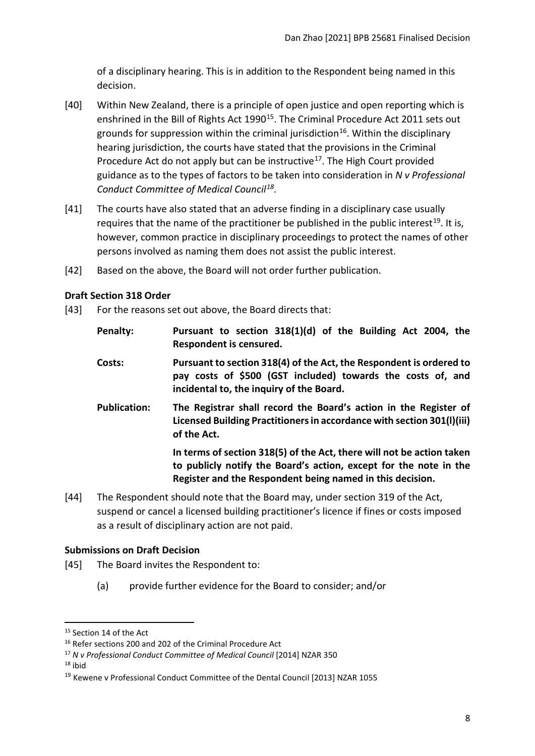of a disciplinary hearing. This is in addition to the Respondent being named in this decision.

- [40] Within New Zealand, there is a principle of open justice and open reporting which is enshrined in the Bill of Rights Act 1990<sup>15</sup>. The Criminal Procedure Act 2011 sets out grounds for suppression within the criminal jurisdiction<sup>16</sup>. Within the disciplinary hearing jurisdiction, the courts have stated that the provisions in the Criminal Procedure Act do not apply but can be instructive<sup>[17](#page-7-4)</sup>. The High Court provided guidance as to the types of factors to be taken into consideration in *N v Professional Conduct Committee of Medical Council[18](#page-7-5).*
- [41] The courts have also stated that an adverse finding in a disciplinary case usually requires that the name of the practitioner be published in the public interest<sup>[19](#page-7-6)</sup>. It is, however, common practice in disciplinary proceedings to protect the names of other persons involved as naming them does not assist the public interest.
- [42] Based on the above, the Board will not order further publication.

## <span id="page-7-0"></span>**Draft Section 318 Order**

- [43] For the reasons set out above, the Board directs that:
	- **Penalty: Pursuant to section 318(1)(d) of the Building Act 2004, the Respondent is censured.**
	- **Costs: Pursuant to section 318(4) of the Act, the Respondent is ordered to pay costs of \$500 (GST included) towards the costs of, and incidental to, the inquiry of the Board.**
	- **Publication: The Registrar shall record the Board's action in the Register of Licensed Building Practitioners in accordance with section 301(l)(iii) of the Act.**

**In terms of section 318(5) of the Act, there will not be action taken to publicly notify the Board's action, except for the note in the Register and the Respondent being named in this decision.**

[44] The Respondent should note that the Board may, under section 319 of the Act, suspend or cancel a licensed building practitioner's licence if fines or costs imposed as a result of disciplinary action are not paid.

## <span id="page-7-1"></span>**Submissions on Draft Decision**

- [45] The Board invites the Respondent to:
	- (a) provide further evidence for the Board to consider; and/or

<span id="page-7-2"></span><sup>&</sup>lt;sup>15</sup> Section 14 of the Act

<span id="page-7-3"></span><sup>&</sup>lt;sup>16</sup> Refer sections 200 and 202 of the Criminal Procedure Act

<span id="page-7-4"></span><sup>17</sup> *N v Professional Conduct Committee of Medical Council* [2014] NZAR 350

<span id="page-7-5"></span> $18$  ibid

<span id="page-7-6"></span><sup>19</sup> Kewene v Professional Conduct Committee of the Dental Council [2013] NZAR 1055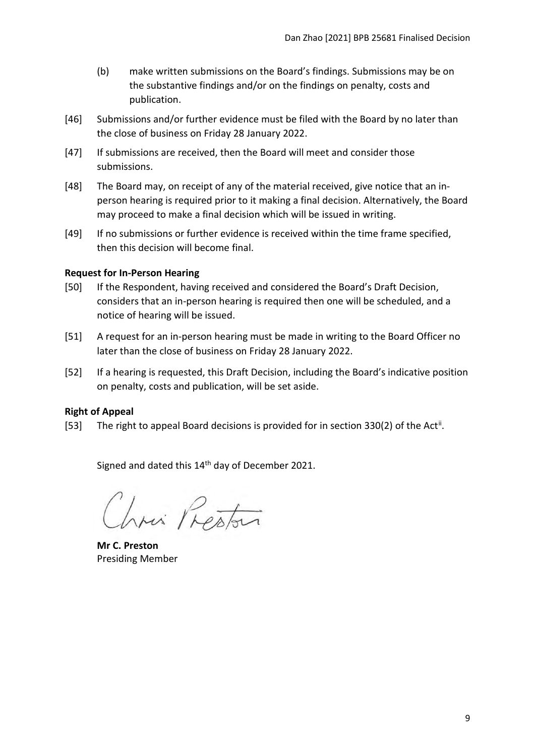- (b) make written submissions on the Board's findings. Submissions may be on the substantive findings and/or on the findings on penalty, costs and publication.
- [46] Submissions and/or further evidence must be filed with the Board by no later than the close of business on Friday 28 January 2022.
- [47] If submissions are received, then the Board will meet and consider those submissions.
- [48] The Board may, on receipt of any of the material received, give notice that an inperson hearing is required prior to it making a final decision. Alternatively, the Board may proceed to make a final decision which will be issued in writing.
- [49] If no submissions or further evidence is received within the time frame specified, then this decision will become final.

#### <span id="page-8-0"></span>**Request for In-Person Hearing**

- [50] If the Respondent, having received and considered the Board's Draft Decision, considers that an in-person hearing is required then one will be scheduled, and a notice of hearing will be issued.
- [51] A request for an in-person hearing must be made in writing to the Board Officer no later than the close of business on Friday 28 January 2022.
- [52] If a hearing is requested, this Draft Decision, including the Board's indicative position on penalty, costs and publication, will be set aside.

## <span id="page-8-1"></span>**Right of Appeal**

[53] The right to appeal Board decisions is provided for in section 330(2) of the Act<sup>[ii](#page-9-1)</sup>.

Signed and dated this 14<sup>th</sup> day of December 2021.

hour Preston

**Mr C. Preston** Presiding Member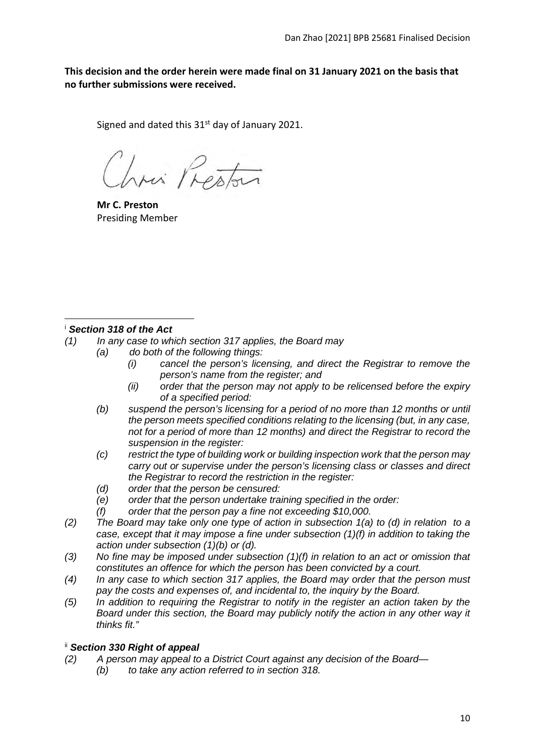**This decision and the order herein were made final on 31 January 2021 on the basis that no further submissions were received.**

Signed and dated this  $31<sup>st</sup>$  day of January 2021.

Lini Preston

**Mr C. Preston** Presiding Member

## <span id="page-9-0"></span><sup>i</sup> *Section 318 of the Act*

- *(1) In any case to which section 317 applies, the Board may*
	- *(a) do both of the following things:*
		- *(i) cancel the person's licensing, and direct the Registrar to remove the person's name from the register; and*
		- *(ii) order that the person may not apply to be relicensed before the expiry of a specified period:*
		- *(b) suspend the person's licensing for a period of no more than 12 months or until the person meets specified conditions relating to the licensing (but, in any case, not for a period of more than 12 months) and direct the Registrar to record the suspension in the register:*
		- *(c) restrict the type of building work or building inspection work that the person may carry out or supervise under the person's licensing class or classes and direct the Registrar to record the restriction in the register:*
		- *(d) order that the person be censured:*
		- *(e) order that the person undertake training specified in the order:*
		- *(f) order that the person pay a fine not exceeding \$10,000.*
- *(2) The Board may take only one type of action in subsection 1(a) to (d) in relation to a case, except that it may impose a fine under subsection (1)(f) in addition to taking the action under subsection (1)(b) or (d).*
- *(3) No fine may be imposed under subsection (1)(f) in relation to an act or omission that constitutes an offence for which the person has been convicted by a court.*
- *(4) In any case to which section 317 applies, the Board may order that the person must pay the costs and expenses of, and incidental to, the inquiry by the Board.*
- *(5) In addition to requiring the Registrar to notify in the register an action taken by the Board under this section, the Board may publicly notify the action in any other way it thinks fit."*

## <span id="page-9-1"></span>ii *Section 330 Right of appeal*

- *(2) A person may appeal to a District Court against any decision of the Board—* 
	- *(b) to take any action referred to in section 318.*